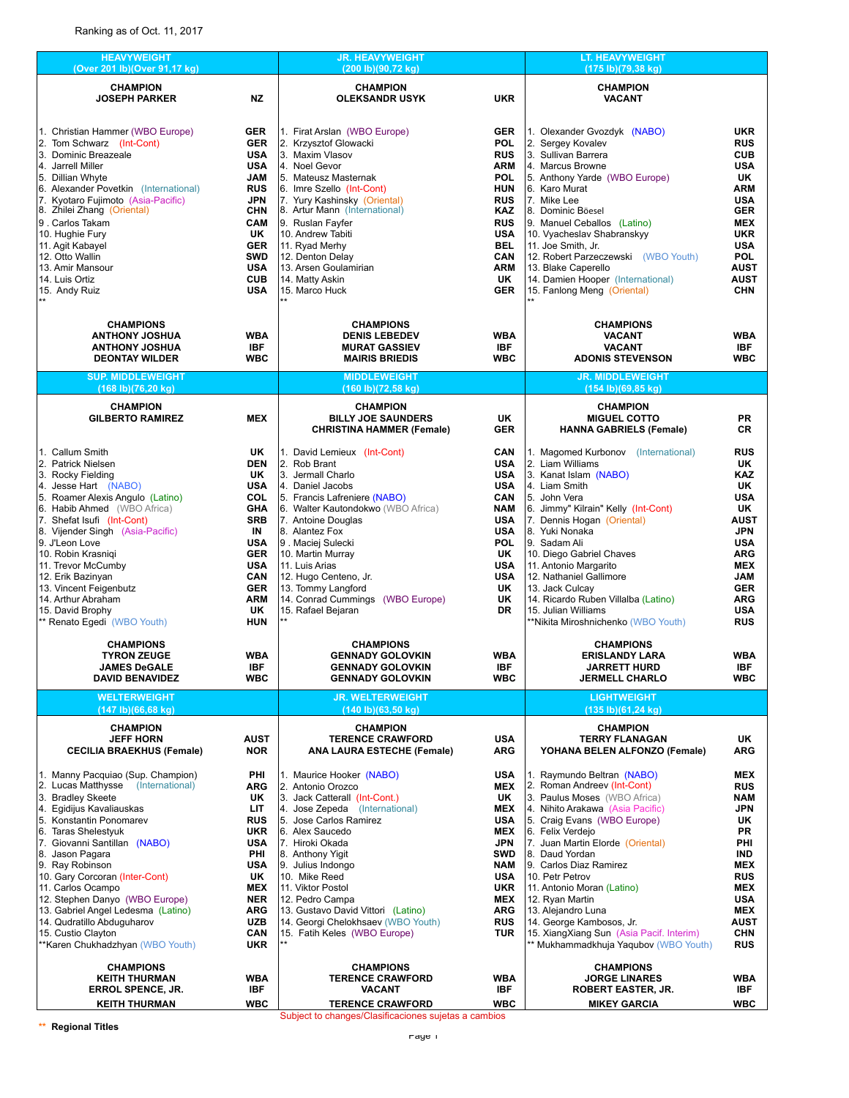| <b>HEAVYWEIGHT</b><br>(Over 201 lb)(Over 91,17 kg)                                                                                                                                                                                                                                                                                                                                                                                  |                          | <b>JR. HEAVYWEIGHT</b><br>(200 lb)(90,72 kg)                       |                          | <b>LT. HEAVYWEIGHT</b><br>(175 lb)(79,38 kg)              |                                                                                                                                               |  |
|-------------------------------------------------------------------------------------------------------------------------------------------------------------------------------------------------------------------------------------------------------------------------------------------------------------------------------------------------------------------------------------------------------------------------------------|--------------------------|--------------------------------------------------------------------|--------------------------|-----------------------------------------------------------|-----------------------------------------------------------------------------------------------------------------------------------------------|--|
| <b>CHAMPION</b><br><b>JOSEPH PARKER</b>                                                                                                                                                                                                                                                                                                                                                                                             | <b>NZ</b>                | <b>CHAMPION</b><br>OLEKSANDR USYK                                  | <b>UKR</b>               | <b>CHAMPION</b><br><b>VACANT</b>                          |                                                                                                                                               |  |
|                                                                                                                                                                                                                                                                                                                                                                                                                                     |                          |                                                                    |                          |                                                           |                                                                                                                                               |  |
| 1. Christian Hammer (WBO Europe)                                                                                                                                                                                                                                                                                                                                                                                                    | <b>GER</b>               | 1. Firat Arslan (WBO Europe)                                       | <b>GER</b>               | 1. Olexander Gvozdyk (NABO)                               | <b>UKR</b>                                                                                                                                    |  |
| 2. Tom Schwarz (Int-Cont)                                                                                                                                                                                                                                                                                                                                                                                                           | <b>GER</b>               | 2. Krzysztof Glowacki                                              | <b>POL</b>               | 2. Sergey Kovalev                                         | <b>RUS</b>                                                                                                                                    |  |
| 3. Dominic Breazeale                                                                                                                                                                                                                                                                                                                                                                                                                | <b>USA</b>               | 3. Maxim Vlasov                                                    | <b>RUS</b>               | 3. Sullivan Barrera                                       | <b>CUB</b>                                                                                                                                    |  |
| 4. Jarrell Miller<br>5. Dillian Whyte                                                                                                                                                                                                                                                                                                                                                                                               | <b>USA</b><br>JAM        | 4. Noel Gevor<br>5. Mateusz Masternak                              | <b>ARM</b><br><b>POL</b> | 4. Marcus Browne                                          | <b>USA</b><br>UK                                                                                                                              |  |
| 6. Alexander Povetkin (International)                                                                                                                                                                                                                                                                                                                                                                                               | <b>RUS</b>               | 6. Imre Szello (Int-Cont)                                          | <b>HUN</b>               | 5. Anthony Yarde (WBO Europe)<br>16. Karo Murat           | <b>ARM</b>                                                                                                                                    |  |
| 7. Kyotaro Fujimoto (Asia-Pacific)                                                                                                                                                                                                                                                                                                                                                                                                  | JPN                      | 7. Yury Kashinsky (Oriental)                                       | <b>RUS</b>               | 7. Mike Lee                                               | <b>USA</b>                                                                                                                                    |  |
| 8. Zhilei Zhang (Oriental)                                                                                                                                                                                                                                                                                                                                                                                                          | <b>CHN</b>               | 8. Artur Mann (International)                                      | KAZ                      | 8. Dominic Böesel                                         | GER                                                                                                                                           |  |
| 9. Carlos Takam                                                                                                                                                                                                                                                                                                                                                                                                                     | CAM                      | 9. Ruslan Fayfer                                                   | <b>RUS</b>               | 9. Manuel Ceballos (Latino)                               | <b>MEX</b>                                                                                                                                    |  |
| 10. Hughie Fury                                                                                                                                                                                                                                                                                                                                                                                                                     | UK                       | 10. Andrew Tabiti                                                  | <b>USA</b>               | 10. Vyacheslav Shabranskyy                                | <b>UKR</b>                                                                                                                                    |  |
| 11. Agit Kabayel<br>12. Otto Wallin                                                                                                                                                                                                                                                                                                                                                                                                 | <b>GER</b><br><b>SWD</b> | 11. Ryad Merhy<br>12. Denton Delay                                 | <b>BEL</b><br><b>CAN</b> | 11. Joe Smith, Jr.<br>12. Robert Parzeczewski (WBO Youth) | <b>USA</b><br><b>POL</b>                                                                                                                      |  |
| 13. Amir Mansour                                                                                                                                                                                                                                                                                                                                                                                                                    | <b>USA</b>               | 13. Arsen Goulamirian                                              | <b>ARM</b>               | 13. Blake Caperello                                       |                                                                                                                                               |  |
| 14. Luis Ortiz                                                                                                                                                                                                                                                                                                                                                                                                                      | <b>CUB</b>               | 14. Matty Askin                                                    | UK                       | 14. Damien Hooper (International)                         | <b>AUST</b>                                                                                                                                   |  |
| 15. Andy Ruiz                                                                                                                                                                                                                                                                                                                                                                                                                       | <b>USA</b>               | 15. Marco Huck                                                     | <b>GER</b>               | 15. Fanlong Meng (Oriental)                               | <b>CHN</b>                                                                                                                                    |  |
| <b>CHAMPIONS</b>                                                                                                                                                                                                                                                                                                                                                                                                                    |                          | <b>CHAMPIONS</b>                                                   |                          | <b>CHAMPIONS</b>                                          |                                                                                                                                               |  |
| <b>ANTHONY JOSHUA</b>                                                                                                                                                                                                                                                                                                                                                                                                               | <b>WBA</b>               | <b>DENIS LEBEDEV</b>                                               | <b>WBA</b>               | <b>VACANT</b>                                             | <b>WBA</b>                                                                                                                                    |  |
| <b>ANTHONY JOSHUA</b><br><b>DEONTAY WILDER</b>                                                                                                                                                                                                                                                                                                                                                                                      | <b>IBF</b><br><b>WBC</b> | <b>MURAT GASSIEV</b><br><b>MAIRIS BRIEDIS</b>                      | <b>IBF</b><br><b>WBC</b> | <b>VACANT</b><br><b>ADONIS STEVENSON</b>                  |                                                                                                                                               |  |
|                                                                                                                                                                                                                                                                                                                                                                                                                                     |                          |                                                                    |                          |                                                           |                                                                                                                                               |  |
| <b>SUP. MIDDLEWEIGHT</b><br>(168 lb)(76,20 kg)                                                                                                                                                                                                                                                                                                                                                                                      |                          | <b>MIDDLEWEIGHT</b><br>(160 lb)(72,58 kg)                          |                          | <b>JR. MIDDLEWEIGHT</b><br>(154 lb)(69,85 kg)             |                                                                                                                                               |  |
| <b>CHAMPION</b>                                                                                                                                                                                                                                                                                                                                                                                                                     |                          | <b>CHAMPION</b>                                                    |                          | <b>CHAMPION</b>                                           |                                                                                                                                               |  |
| <b>GILBERTO RAMIREZ</b>                                                                                                                                                                                                                                                                                                                                                                                                             | <b>MEX</b>               | <b>BILLY JOE SAUNDERS</b><br><b>CHRISTINA HAMMER (Female)</b>      | <b>UK</b><br><b>GER</b>  | <b>MIGUEL COTTO</b><br><b>HANNA GABRIELS (Female)</b>     | CR                                                                                                                                            |  |
| 1. Callum Smith                                                                                                                                                                                                                                                                                                                                                                                                                     | <b>UK</b>                | 1. David Lemieux (Int-Cont)                                        | CAN                      | 1. Magomed Kurbonov (International)                       | <b>RUS</b>                                                                                                                                    |  |
| 2. Patrick Nielsen                                                                                                                                                                                                                                                                                                                                                                                                                  | <b>DEN</b>               | 2. Rob Brant                                                       | <b>USA</b>               | 2. Liam Williams                                          | UK                                                                                                                                            |  |
| 3. Rocky Fielding                                                                                                                                                                                                                                                                                                                                                                                                                   | UK.                      | 3. Jermall Charlo                                                  | <b>USA</b>               | 3. Kanat Islam (NABO)                                     | KAZ                                                                                                                                           |  |
| 4. Jesse Hart (NABO)                                                                                                                                                                                                                                                                                                                                                                                                                | <b>USA</b>               | 4. Daniel Jacobs                                                   | <b>USA</b>               | 4. Liam Smith                                             |                                                                                                                                               |  |
| 5. Roamer Alexis Angulo (Latino)<br>6. Habib Ahmed (WBO Africa)                                                                                                                                                                                                                                                                                                                                                                     | <b>COL</b><br><b>GHA</b> | 5. Francis Lafreniere (NABO)<br>6. Walter Kautondokwo (WBO Africa) | CAN<br><b>NAM</b>        | 5. John Vera<br>6. Jimmy" Kilrain" Kelly (Int-Cont)       |                                                                                                                                               |  |
| 7. Shefat Isufi (Int-Cont)                                                                                                                                                                                                                                                                                                                                                                                                          | <b>SRB</b>               | 7. Antoine Douglas                                                 | <b>USA</b>               | 7. Dennis Hogan (Oriental)                                | <b>AUST</b>                                                                                                                                   |  |
| 8. Vijender Singh (Asia-Pacific)                                                                                                                                                                                                                                                                                                                                                                                                    | IN                       | 8. Alantez Fox                                                     | <b>USA</b>               | 8. Yuki Nonaka                                            | <b>JPN</b>                                                                                                                                    |  |
| 9. J'Leon Love                                                                                                                                                                                                                                                                                                                                                                                                                      | <b>USA</b>               | 9. Maciej Sulecki                                                  | <b>POL</b>               | 9. Sadam Ali                                              | <b>USA</b>                                                                                                                                    |  |
| 10. Robin Krasniqi                                                                                                                                                                                                                                                                                                                                                                                                                  | <b>GER</b>               | 10. Martin Murray                                                  | UK                       | 10. Diego Gabriel Chaves                                  | ARG                                                                                                                                           |  |
| 11. Trevor McCumby                                                                                                                                                                                                                                                                                                                                                                                                                  | <b>USA</b>               | 11. Luis Arias                                                     | <b>USA</b>               | 11. Antonio Margarito                                     |                                                                                                                                               |  |
| 12. Erik Bazinyan<br>13. Vincent Feigenbutz                                                                                                                                                                                                                                                                                                                                                                                         | <b>CAN</b><br><b>GER</b> | 12. Hugo Centeno, Jr.<br>13. Tommy Langford                        | <b>USA</b><br>UK         | 12. Nathaniel Gallimore<br>13. Jack Culcay                |                                                                                                                                               |  |
| 14. Arthur Abraham                                                                                                                                                                                                                                                                                                                                                                                                                  | <b>ARM</b>               | 14. Conrad Cummings (WBO Europe)                                   | UK                       | 14. Ricardo Ruben Villalba (Latino)                       |                                                                                                                                               |  |
| 15. David Brophy                                                                                                                                                                                                                                                                                                                                                                                                                    | UK                       | 15. Rafael Bejaran                                                 | <b>DR</b>                | 15. Julian Williams                                       | <b>USA</b>                                                                                                                                    |  |
| ** Renato Egedi (WBO Youth)                                                                                                                                                                                                                                                                                                                                                                                                         | <b>HUN</b>               |                                                                    |                          | **Nikita Miroshnichenko (WBO Youth)                       | <b>RUS</b>                                                                                                                                    |  |
| <b>CHAMPIONS</b>                                                                                                                                                                                                                                                                                                                                                                                                                    |                          |                                                                    |                          | <b>CHAMPIONS</b>                                          |                                                                                                                                               |  |
|                                                                                                                                                                                                                                                                                                                                                                                                                                     |                          | <b>CHAMPIONS</b>                                                   |                          |                                                           |                                                                                                                                               |  |
| <b>TYRON ZEUGE</b>                                                                                                                                                                                                                                                                                                                                                                                                                  | <b>WBA</b>               | <b>GENNADY GOLOVKIN</b>                                            | <b>WBA</b>               | <b>ERISLANDY LARA</b>                                     | <b>WBA</b>                                                                                                                                    |  |
| JAMES DeGALE                                                                                                                                                                                                                                                                                                                                                                                                                        | IBF                      | <b>GENNADY GOLOVKIN</b>                                            | IBF.                     | <b>JARRETT HURD</b>                                       | IBF                                                                                                                                           |  |
| <b>DAVID BENAVIDEZ</b><br><b>WELTERWEIGHT</b>                                                                                                                                                                                                                                                                                                                                                                                       | <b>WBC</b>               | <b>GENNADY GOLOVKIN</b><br><b>JR. WELTERWEIGHT</b>                 | <b>WBC</b>               | <b>JERMELL CHARLO</b><br><b>LIGHTWEIGHT</b>               | <b>WBC</b>                                                                                                                                    |  |
| (147 lb)(66,68 kg)                                                                                                                                                                                                                                                                                                                                                                                                                  |                          | (140 lb)(63,50 kg)                                                 |                          | (135 lb)(61,24 kg)                                        |                                                                                                                                               |  |
| <b>CHAMPION</b><br><b>JEFF HORN</b>                                                                                                                                                                                                                                                                                                                                                                                                 | <b>AUST</b>              | <b>CHAMPION</b><br><b>TERENCE CRAWFORD</b>                         | <b>USA</b>               | <b>CHAMPION</b><br><b>TERRY FLANAGAN</b>                  | UK                                                                                                                                            |  |
| <b>CECILIA BRAEKHUS (Female)</b>                                                                                                                                                                                                                                                                                                                                                                                                    | <b>NOR</b>               | <b>ANA LAURA ESTECHE (Female)</b>                                  | ARG                      | YOHANA BELEN ALFONZO (Female)                             | <b>ARG</b>                                                                                                                                    |  |
|                                                                                                                                                                                                                                                                                                                                                                                                                                     | PHI                      | 1. Maurice Hooker (NABO)                                           | <b>USA</b>               | 1. Raymundo Beltran (NABO)                                | <b>MEX</b>                                                                                                                                    |  |
|                                                                                                                                                                                                                                                                                                                                                                                                                                     | ARG                      | 2. Antonio Orozco                                                  | <b>MEX</b>               | 2. Roman Andreev (Int-Cont)                               | <b>RUS</b>                                                                                                                                    |  |
|                                                                                                                                                                                                                                                                                                                                                                                                                                     | UK                       | 3. Jack Catterall (Int-Cont.)                                      | UK                       | 3. Paulus Moses (WBO Africa)                              | NAM                                                                                                                                           |  |
|                                                                                                                                                                                                                                                                                                                                                                                                                                     | LIT                      | 4. Jose Zepeda (International)<br>5. Jose Carlos Ramirez           | <b>MEX</b>               | 4. Nihito Arakawa (Asia Pacific)                          | JPN                                                                                                                                           |  |
|                                                                                                                                                                                                                                                                                                                                                                                                                                     | <b>RUS</b><br><b>UKR</b> | 6. Alex Saucedo                                                    | USA<br><b>MEX</b>        | 5. Craig Evans (WBO Europe)<br>6. Felix Verdejo           | UK<br>PR                                                                                                                                      |  |
|                                                                                                                                                                                                                                                                                                                                                                                                                                     | <b>USA</b>               | 7. Hiroki Okada                                                    | JPN                      | 7. Juan Martin Elorde (Oriental)                          | PHI                                                                                                                                           |  |
|                                                                                                                                                                                                                                                                                                                                                                                                                                     | PHI                      | 8. Anthony Yigit                                                   | <b>SWD</b>               | 8. Daud Yordan                                            | <b>IND</b>                                                                                                                                    |  |
|                                                                                                                                                                                                                                                                                                                                                                                                                                     | <b>USA</b>               | 9. Julius Indongo                                                  | NAM                      | 9. Carlos Diaz Ramirez                                    | <b>MEX</b>                                                                                                                                    |  |
|                                                                                                                                                                                                                                                                                                                                                                                                                                     | UK                       | 10. Mike Reed                                                      | <b>USA</b>               | 10. Petr Petrov                                           | <b>RUS</b>                                                                                                                                    |  |
|                                                                                                                                                                                                                                                                                                                                                                                                                                     | <b>MEX</b>               | 11. Viktor Postol                                                  | <b>UKR</b>               | 11. Antonio Moran (Latino)                                | <b>MEX</b>                                                                                                                                    |  |
|                                                                                                                                                                                                                                                                                                                                                                                                                                     | <b>NER</b><br><b>ARG</b> | 12. Pedro Campa<br>13. Gustavo David Vittori (Latino)              | MEX<br><b>ARG</b>        | 12. Ryan Martin<br>13. Alejandro Luna                     | <b>USA</b><br>MEX                                                                                                                             |  |
|                                                                                                                                                                                                                                                                                                                                                                                                                                     | <b>UZB</b>               | 14. Georgi Chelokhsaev (WBO Youth)                                 | <b>RUS</b>               | 14. George Kambosos, Jr.                                  | <b>AUST</b>                                                                                                                                   |  |
| 1. Manny Pacquiao (Sup. Champion)<br>2. Lucas Matthysse (International)<br>3. Bradley Skeete<br>4. Egidijus Kavaliauskas<br>5. Konstantin Ponomarev<br>6. Taras Shelestyuk<br>7. Giovanni Santillan (NABO)<br>8. Jason Pagara<br>9. Ray Robinson<br>10. Gary Corcoran (Inter-Cont)<br>11. Carlos Ocampo<br>12. Stephen Danyo (WBO Europe)<br>13. Gabriel Angel Ledesma (Latino)<br>14. Qudratillo Abduguharov<br>15. Custio Clayton | <b>CAN</b>               | 15. Fatih Keles (WBO Europe)                                       | <b>TUR</b>               | 15. XiangXiang Sun (Asia Pacif. Interim)                  | <b>CHN</b>                                                                                                                                    |  |
| **Karen Chukhadzhyan (WBO Youth)                                                                                                                                                                                                                                                                                                                                                                                                    | <b>UKR</b>               |                                                                    |                          | ** Mukhammadkhuja Yaqubov (WBO Youth)                     | <b>RUS</b>                                                                                                                                    |  |
| <b>CHAMPIONS</b>                                                                                                                                                                                                                                                                                                                                                                                                                    |                          | <b>CHAMPIONS</b>                                                   |                          | <b>CHAMPIONS</b>                                          |                                                                                                                                               |  |
| <b>KEITH THURMAN</b><br><b>ERROL SPENCE, JR.</b>                                                                                                                                                                                                                                                                                                                                                                                    | <b>WBA</b><br>IBF        | <b>TERENCE CRAWFORD</b><br><b>VACANT</b>                           | <b>WBA</b><br><b>IBF</b> | <b>JORGE LINARES</b><br>ROBERT EASTER, JR.                | <b>AUST</b><br><b>IBF</b><br>WBC<br><b>PR</b><br>UK<br><b>USA</b><br>UK<br>MEX<br>JAM<br><b>GER</b><br>ARG<br><b>WBA</b><br>IBF<br><b>WBC</b> |  |